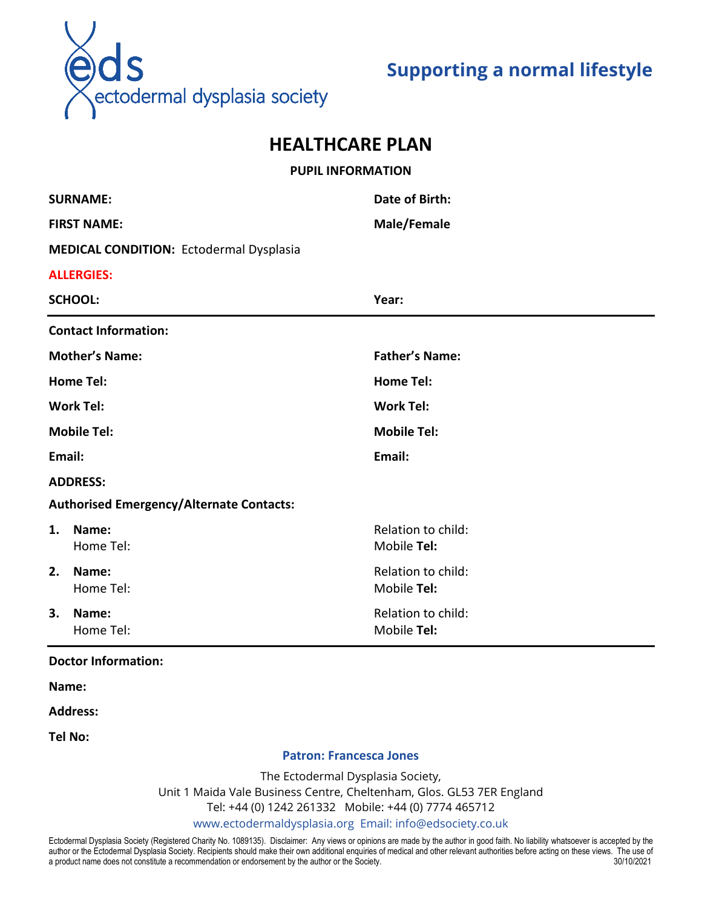

# **Supporting a normal lifestyle**

## **HEALTHCARE PLAN**

# **PUPIL INFORMATION SURNAME: Date of Birth: FIRST NAME: Male/Female MEDICAL CONDITION:** Ectodermal Dysplasia **ALLERGIES: SCHOOL: Year: Contact Information: Mother's Name: Father's Name: Home Tel: Home Tel: Work Tel: Work Tel: Mobile Tel: Mobile Tel: Email: Email: ADDRESS: Authorised Emergency/Alternate Contacts: 1. Name: 1. Name: 1. Relation to child: Relation to child: 1. Relation to child:** Home Tel: **Mobile Tel:** Mobile **Tel: 2. Name: 2. Name: 2. Relation to child: 2. Relation to child: 2. Relation to child:** Home Tel: **Mobile Tel:** Mobile **Tel: 3. Name: All and Solution to child: Relation to child: Relation to child:** Home Tel: **Mobile Tel:** Mobile **Tel:**

#### **Doctor Information:**

**Name:**

**Address:**

**Tel No:**

#### **Patron: Francesca Jones**

The Ectodermal Dysplasia Society, Unit 1 Maida Vale Business Centre, Cheltenham, Glos. GL53 7ER England Tel: +44 (0) 1242 261332 Mobile: +44 (0) 7774 465712 www.ectodermaldysplasia.org Email: [info@edsociety.co.uk](mailto:info@edsociety.co.uk)

Ectodermal Dysplasia Society (Registered Charity No. 1089135). Disclaimer: Any views or opinions are made by the author in good faith. No liability whatsoever is accepted by the author or the Ectodermal Dysplasia Society. Recipients should make their own additional enquiries of medical and other relevant authorities before acting on these views. The use of a product name does not constitute a recommendation or endorsement by the author or the Society. 30/10/2021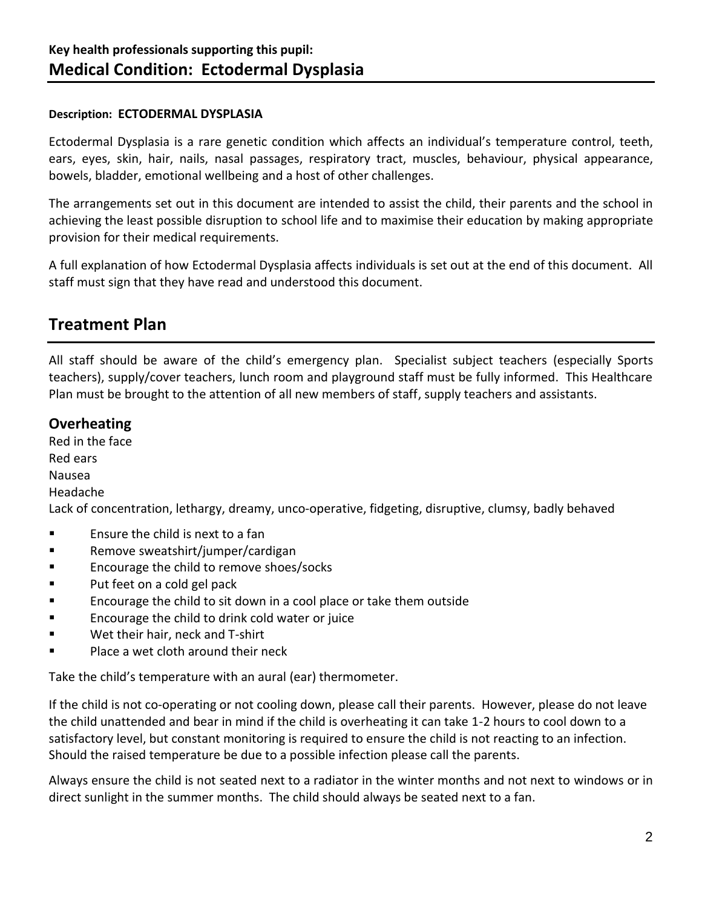### **Description: ECTODERMAL DYSPLASIA**

Ectodermal Dysplasia is a rare genetic condition which affects an individual's temperature control, teeth, ears, eyes, skin, hair, nails, nasal passages, respiratory tract, muscles, behaviour, physical appearance, bowels, bladder, emotional wellbeing and a host of other challenges.

The arrangements set out in this document are intended to assist the child, their parents and the school in achieving the least possible disruption to school life and to maximise their education by making appropriate provision for their medical requirements.

A full explanation of how Ectodermal Dysplasia affects individuals is set out at the end of this document. All staff must sign that they have read and understood this document.

## **Treatment Plan**

All staff should be aware of the child's emergency plan.Specialist subject teachers (especially Sports teachers), supply/cover teachers, lunch room and playground staff must be fully informed. This Healthcare Plan must be brought to the attention of all new members of staff, supply teachers and assistants.

## **Overheating**

Red in the face Red ears Nausea Headache Lack of concentration, lethargy, dreamy, unco-operative, fidgeting, disruptive, clumsy, badly behaved ■ Ensure the child is next to a fan

- Remove sweatshirt/jumper/cardigan
- Encourage the child to remove shoes/socks
- Put feet on a cold gel pack
- Encourage the child to sit down in a cool place or take them outside
- Encourage the child to drink cold water or juice
- Wet their hair, neck and T-shirt
- Place a wet cloth around their neck

Take the child's temperature with an aural (ear) thermometer.

If the child is not co-operating or not cooling down, please call their parents. However, please do not leave the child unattended and bear in mind if the child is overheating it can take 1-2 hours to cool down to a satisfactory level, but constant monitoring is required to ensure the child is not reacting to an infection. Should the raised temperature be due to a possible infection please call the parents.

Always ensure the child is not seated next to a radiator in the winter months and not next to windows or in direct sunlight in the summer months. The child should always be seated next to a fan.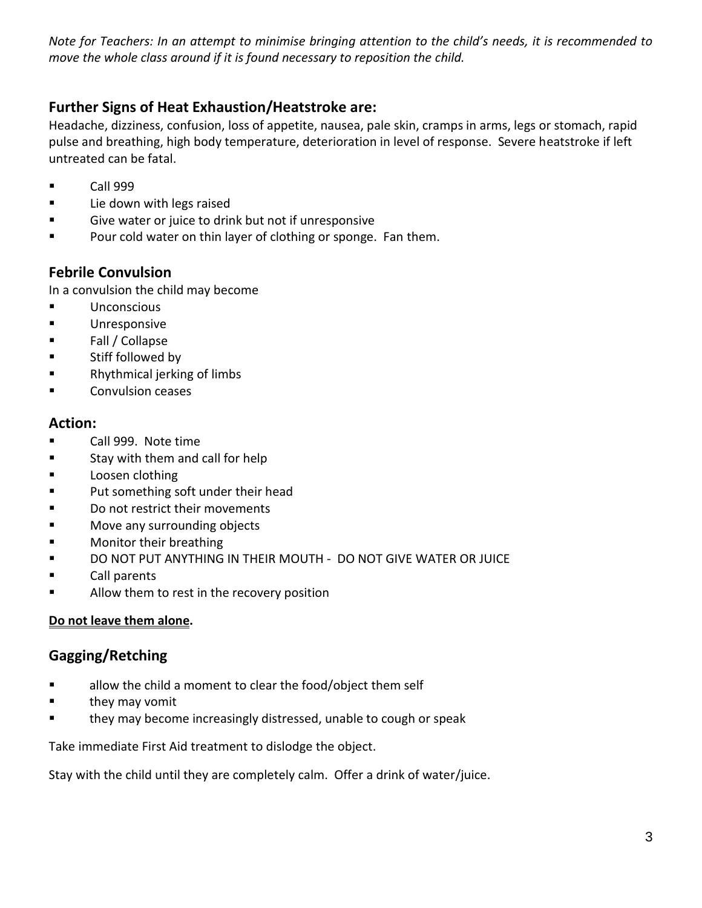*Note for Teachers: In an attempt to minimise bringing attention to the child's needs, it is recommended to move the whole class around if it is found necessary to reposition the child.*

## **Further Signs of Heat Exhaustion/Heatstroke are:**

Headache, dizziness, confusion, loss of appetite, nausea, pale skin, cramps in arms, legs or stomach, rapid pulse and breathing, high body temperature, deterioration in level of response. Severe heatstroke if left untreated can be fatal.

- Call 999
- Lie down with legs raised
- Give water or juice to drink but not if unresponsive
- Pour cold water on thin layer of clothing or sponge. Fan them.

## **Febrile Convulsion**

In a convulsion the child may become

- Unconscious
- Unresponsive
- Fall / Collapse
- Stiff followed by
- Rhythmical jerking of limbs
- Convulsion ceases

### **Action:**

- Call 999.Note time
- Stay with them and call for help
- Loosen clothing
- Put something soft under their head
- Do not restrict their movements
- Move any surrounding objects
- Monitor their breathing
- DO NOT PUT ANYTHING IN THEIR MOUTH DO NOT GIVE WATER OR JUICE
- Call parents
- Allow them to rest in the recovery position

### **Do not leave them alone.**

## **Gagging/Retching**

- allow the child a moment to clear the food/object them self
- they may vomit
- they may become increasingly distressed, unable to cough or speak

Take immediate First Aid treatment to dislodge the object.

Stay with the child until they are completely calm. Offer a drink of water/juice.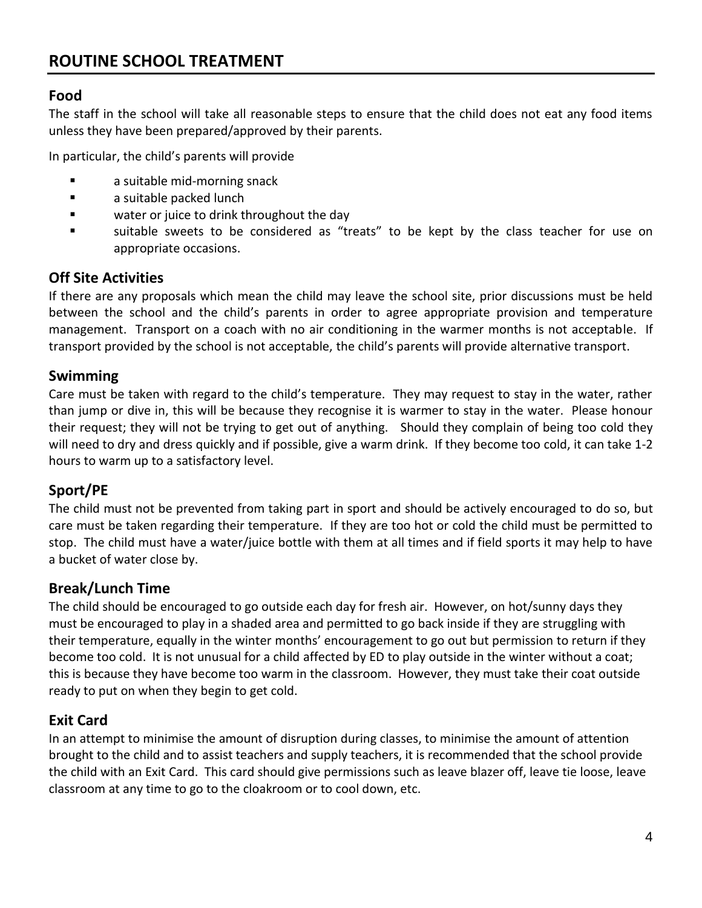## **Food**

The staff in the school will take all reasonable steps to ensure that the child does not eat any food items unless they have been prepared/approved by their parents.

In particular, the child's parents will provide

- a suitable mid-morning snack
- a suitable packed lunch
- water or juice to drink throughout the day
- suitable sweets to be considered as "treats" to be kept by the class teacher for use on appropriate occasions.

### **Off Site Activities**

If there are any proposals which mean the child may leave the school site, prior discussions must be held between the school and the child's parents in order to agree appropriate provision and temperature management. Transport on a coach with no air conditioning in the warmer months is not acceptable. If transport provided by the school is not acceptable, the child's parents will provide alternative transport.

### **Swimming**

Care must be taken with regard to the child's temperature. They may request to stay in the water, rather than jump or dive in, this will be because they recognise it is warmer to stay in the water. Please honour their request; they will not be trying to get out of anything. Should they complain of being too cold they will need to dry and dress quickly and if possible, give a warm drink. If they become too cold, it can take 1-2 hours to warm up to a satisfactory level.

## **Sport/PE**

The child must not be prevented from taking part in sport and should be actively encouraged to do so, but care must be taken regarding their temperature. If they are too hot or cold the child must be permitted to stop. The child must have a water/juice bottle with them at all times and if field sports it may help to have a bucket of water close by.

## **Break/Lunch Time**

The child should be encouraged to go outside each day for fresh air. However, on hot/sunny days they must be encouraged to play in a shaded area and permitted to go back inside if they are struggling with their temperature, equally in the winter months' encouragement to go out but permission to return if they become too cold. It is not unusual for a child affected by ED to play outside in the winter without a coat; this is because they have become too warm in the classroom. However, they must take their coat outside ready to put on when they begin to get cold.

## **Exit Card**

In an attempt to minimise the amount of disruption during classes, to minimise the amount of attention brought to the child and to assist teachers and supply teachers, it is recommended that the school provide the child with an Exit Card. This card should give permissions such as leave blazer off, leave tie loose, leave classroom at any time to go to the cloakroom or to cool down, etc.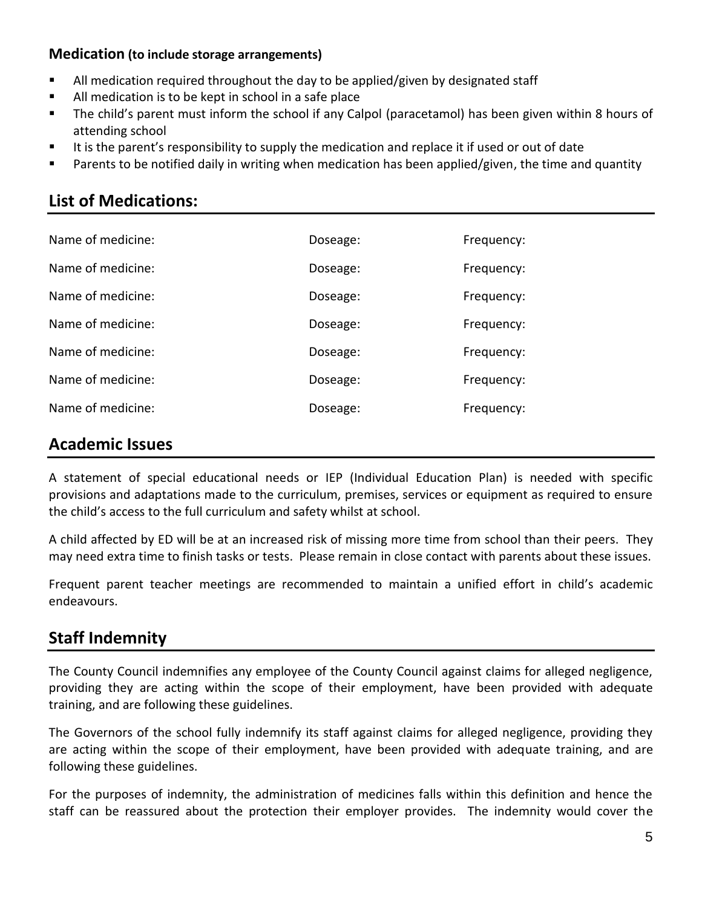### **Medication (to include storage arrangements)**

- All medication required throughout the day to be applied/given by designated staff
- All medication is to be kept in school in a safe place
- The child's parent must inform the school if any Calpol (paracetamol) has been given within 8 hours of attending school
- It is the parent's responsibility to supply the medication and replace it if used or out of date
- Parents to be notified daily in writing when medication has been applied/given, the time and quantity

## **List of Medications:**

| Name of medicine: | Doseage: | Frequency: |
|-------------------|----------|------------|
| Name of medicine: | Doseage: | Frequency: |
| Name of medicine: | Doseage: | Frequency: |
| Name of medicine: | Doseage: | Frequency: |
| Name of medicine: | Doseage: | Frequency: |
| Name of medicine: | Doseage: | Frequency: |
| Name of medicine: | Doseage: | Frequency: |

## **Academic Issues**

A statement of special educational needs or IEP (Individual Education Plan) is needed with specific provisions and adaptations made to the curriculum, premises, services or equipment as required to ensure the child's access to the full curriculum and safety whilst at school.

A child affected by ED will be at an increased risk of missing more time from school than their peers. They may need extra time to finish tasks or tests. Please remain in close contact with parents about these issues.

Frequent parent teacher meetings are recommended to maintain a unified effort in child's academic endeavours.

## **Staff Indemnity**

The County Council indemnifies any employee of the County Council against claims for alleged negligence, providing they are acting within the scope of their employment, have been provided with adequate training, and are following these guidelines.

The Governors of the school fully indemnify its staff against claims for alleged negligence, providing they are acting within the scope of their employment, have been provided with adequate training, and are following these guidelines.

For the purposes of indemnity, the administration of medicines falls within this definition and hence the staff can be reassured about the protection their employer provides. The indemnity would cover the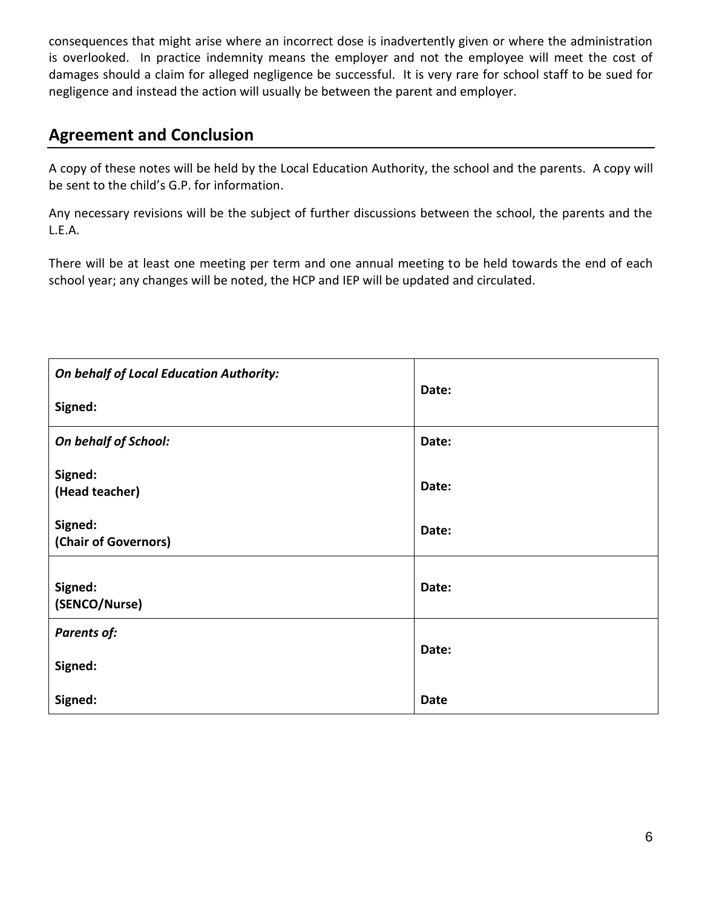consequences that might arise where an incorrect dose is inadvertently given or where the administration is overlooked. In practice indemnity means the employer and not the employee will meet the cost of damages should a claim for alleged negligence be successful. It is very rare for school staff to be sued for negligence and instead the action will usually be between the parent and employer.

## **Agreement and Conclusion**

A copy of these notes will be held by the Local Education Authority, the school and the parents. A copy will be sent to the child's G.P. for information.

Any necessary revisions will be the subject of further discussions between the school, the parents and the L.E.A.

There will be at least one meeting per term and one annual meeting to be held towards the end of each school year; any changes will be noted, the HCP and IEP will be updated and circulated.

| On behalf of Local Education Authority:<br>Signed: | Date:       |
|----------------------------------------------------|-------------|
| On behalf of School:                               | Date:       |
| Signed:<br>(Head teacher)                          | Date:       |
| Signed:<br>(Chair of Governors)                    | Date:       |
| Signed:<br>(SENCO/Nurse)                           | Date:       |
| <b>Parents of:</b>                                 | Date:       |
| Signed:                                            |             |
| Signed:                                            | <b>Date</b> |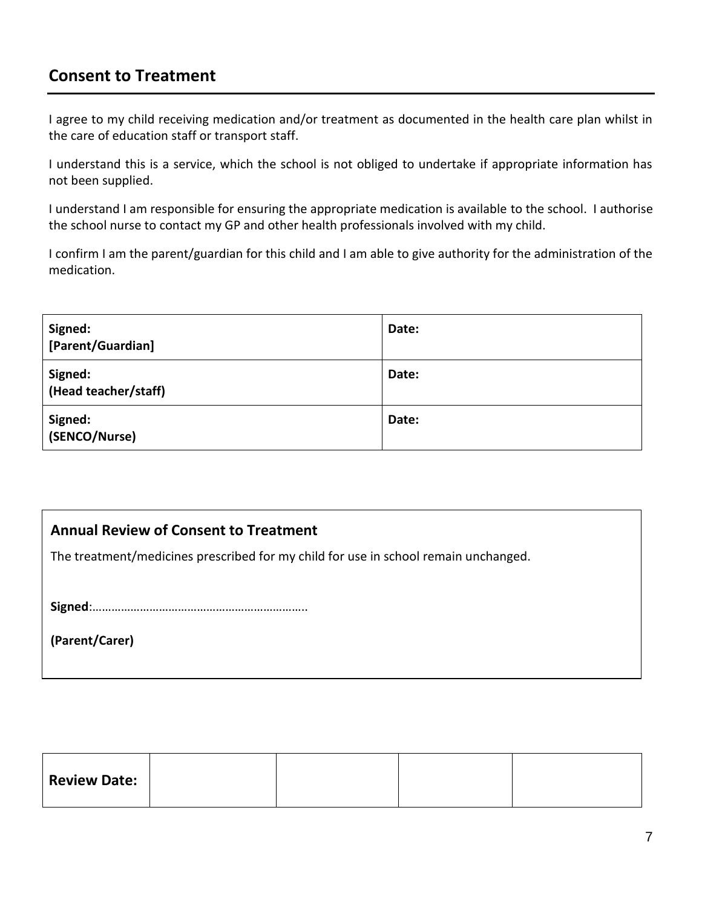## **Consent to Treatment**

I agree to my child receiving medication and/or treatment as documented in the health care plan whilst in the care of education staff or transport staff.

I understand this is a service, which the school is not obliged to undertake if appropriate information has not been supplied.

I understand I am responsible for ensuring the appropriate medication is available to the school. I authorise the school nurse to contact my GP and other health professionals involved with my child.

I confirm I am the parent/guardian for this child and I am able to give authority for the administration of the medication.

| Signed:<br>[Parent/Guardian]    | Date: |
|---------------------------------|-------|
| Signed:<br>(Head teacher/staff) | Date: |
| Signed:<br>(SENCO/Nurse)        | Date: |

## **Annual Review of Consent to Treatment**

The treatment/medicines prescribed for my child for use in school remain unchanged.

**Signed**:…………………………………………………………..

**(Parent/Carer)**

| <b>Review Date:</b> |  |  |
|---------------------|--|--|
|                     |  |  |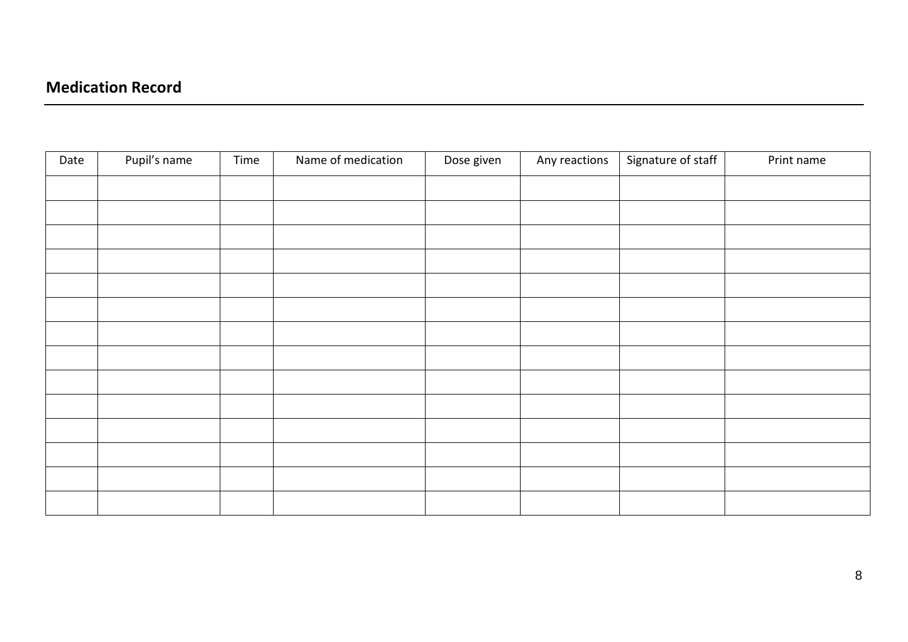| Date | Pupil's name | Time | Name of medication | Dose given | Any reactions | Signature of staff | Print name |
|------|--------------|------|--------------------|------------|---------------|--------------------|------------|
|      |              |      |                    |            |               |                    |            |
|      |              |      |                    |            |               |                    |            |
|      |              |      |                    |            |               |                    |            |
|      |              |      |                    |            |               |                    |            |
|      |              |      |                    |            |               |                    |            |
|      |              |      |                    |            |               |                    |            |
|      |              |      |                    |            |               |                    |            |
|      |              |      |                    |            |               |                    |            |
|      |              |      |                    |            |               |                    |            |
|      |              |      |                    |            |               |                    |            |
|      |              |      |                    |            |               |                    |            |
|      |              |      |                    |            |               |                    |            |
|      |              |      |                    |            |               |                    |            |
|      |              |      |                    |            |               |                    |            |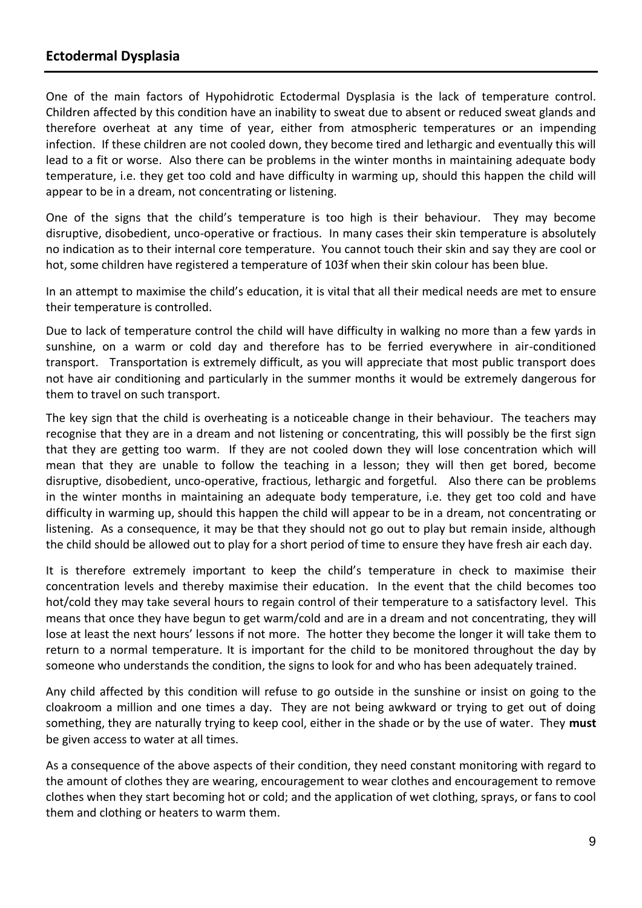## **Ectodermal Dysplasia**

One of the main factors of Hypohidrotic Ectodermal Dysplasia is the lack of temperature control. Children affected by this condition have an inability to sweat due to absent or reduced sweat glands and therefore overheat at any time of year, either from atmospheric temperatures or an impending infection. If these children are not cooled down, they become tired and lethargic and eventually this will lead to a fit or worse. Also there can be problems in the winter months in maintaining adequate body temperature, i.e. they get too cold and have difficulty in warming up, should this happen the child will appear to be in a dream, not concentrating or listening.

One of the signs that the child's temperature is too high is their behaviour. They may become disruptive, disobedient, unco-operative or fractious. In many cases their skin temperature is absolutely no indication as to their internal core temperature. You cannot touch their skin and say they are cool or hot, some children have registered a temperature of 103f when their skin colour has been blue.

In an attempt to maximise the child's education, it is vital that all their medical needs are met to ensure their temperature is controlled.

Due to lack of temperature control the child will have difficulty in walking no more than a few yards in sunshine, on a warm or cold day and therefore has to be ferried everywhere in air-conditioned transport. Transportation is extremely difficult, as you will appreciate that most public transport does not have air conditioning and particularly in the summer months it would be extremely dangerous for them to travel on such transport.

The key sign that the child is overheating is a noticeable change in their behaviour. The teachers may recognise that they are in a dream and not listening or concentrating, this will possibly be the first sign that they are getting too warm. If they are not cooled down they will lose concentration which will mean that they are unable to follow the teaching in a lesson; they will then get bored, become disruptive, disobedient, unco-operative, fractious, lethargic and forgetful. Also there can be problems in the winter months in maintaining an adequate body temperature, i.e. they get too cold and have difficulty in warming up, should this happen the child will appear to be in a dream, not concentrating or listening. As a consequence, it may be that they should not go out to play but remain inside, although the child should be allowed out to play for a short period of time to ensure they have fresh air each day.

It is therefore extremely important to keep the child's temperature in check to maximise their concentration levels and thereby maximise their education. In the event that the child becomes too hot/cold they may take several hours to regain control of their temperature to a satisfactory level. This means that once they have begun to get warm/cold and are in a dream and not concentrating, they will lose at least the next hours' lessons if not more. The hotter they become the longer it will take them to return to a normal temperature. It is important for the child to be monitored throughout the day by someone who understands the condition, the signs to look for and who has been adequately trained.

Any child affected by this condition will refuse to go outside in the sunshine or insist on going to the cloakroom a million and one times a day. They are not being awkward or trying to get out of doing something, they are naturally trying to keep cool, either in the shade or by the use of water. They **must** be given access to water at all times.

As a consequence of the above aspects of their condition, they need constant monitoring with regard to the amount of clothes they are wearing, encouragement to wear clothes and encouragement to remove clothes when they start becoming hot or cold; and the application of wet clothing, sprays, or fans to cool them and clothing or heaters to warm them.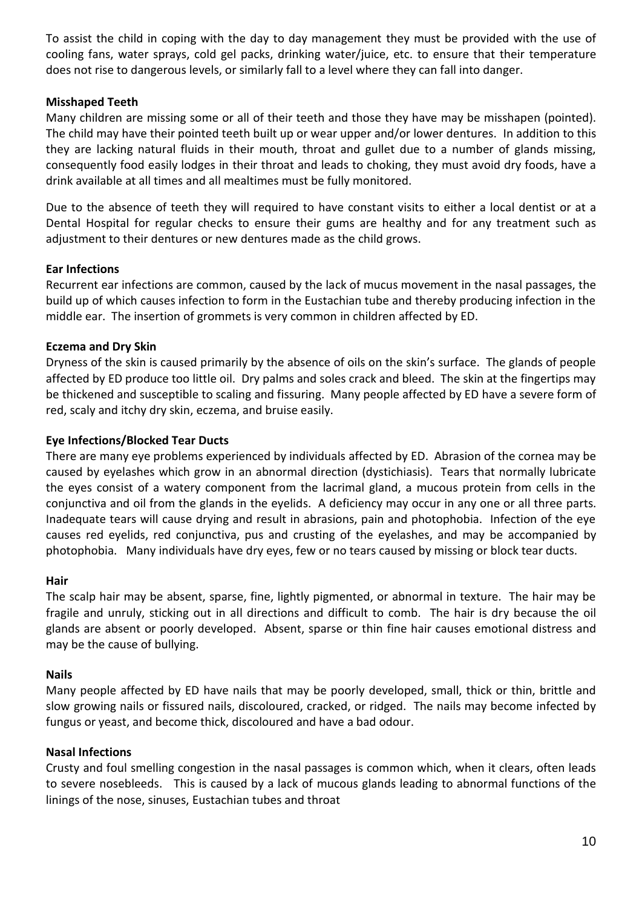To assist the child in coping with the day to day management they must be provided with the use of cooling fans, water sprays, cold gel packs, drinking water/juice, etc. to ensure that their temperature does not rise to dangerous levels, or similarly fall to a level where they can fall into danger.

### **Misshaped Teeth**

Many children are missing some or all of their teeth and those they have may be misshapen (pointed). The child may have their pointed teeth built up or wear upper and/or lower dentures. In addition to this they are lacking natural fluids in their mouth, throat and gullet due to a number of glands missing, consequently food easily lodges in their throat and leads to choking, they must avoid dry foods, have a drink available at all times and all mealtimes must be fully monitored.

Due to the absence of teeth they will required to have constant visits to either a local dentist or at a Dental Hospital for regular checks to ensure their gums are healthy and for any treatment such as adjustment to their dentures or new dentures made as the child grows.

### **Ear Infections**

Recurrent ear infections are common, caused by the lack of mucus movement in the nasal passages, the build up of which causes infection to form in the Eustachian tube and thereby producing infection in the middle ear. The insertion of grommets is very common in children affected by ED.

### **Eczema and Dry Skin**

Dryness of the skin is caused primarily by the absence of oils on the skin's surface. The glands of people affected by ED produce too little oil. Dry palms and soles crack and bleed. The skin at the fingertips may be thickened and susceptible to scaling and fissuring. Many people affected by ED have a severe form of red, scaly and itchy dry skin, eczema, and bruise easily.

### **Eye Infections/Blocked Tear Ducts**

There are many eye problems experienced by individuals affected by ED. Abrasion of the cornea may be caused by eyelashes which grow in an abnormal direction (dystichiasis). Tears that normally lubricate the eyes consist of a watery component from the lacrimal gland, a mucous protein from cells in the conjunctiva and oil from the glands in the eyelids. A deficiency may occur in any one or all three parts. Inadequate tears will cause drying and result in abrasions, pain and photophobia. Infection of the eye causes red eyelids, red conjunctiva, pus and crusting of the eyelashes, and may be accompanied by photophobia. Many individuals have dry eyes, few or no tears caused by missing or block tear ducts.

### **Hair**

The scalp hair may be absent, sparse, fine, lightly pigmented, or abnormal in texture. The hair may be fragile and unruly, sticking out in all directions and difficult to comb. The hair is dry because the oil glands are absent or poorly developed. Absent, sparse or thin fine hair causes emotional distress and may be the cause of bullying.

### **Nails**

Many people affected by ED have nails that may be poorly developed, small, thick or thin, brittle and slow growing nails or fissured nails, discoloured, cracked, or ridged. The nails may become infected by fungus or yeast, and become thick, discoloured and have a bad odour.

### **Nasal Infections**

Crusty and foul smelling congestion in the nasal passages is common which, when it clears, often leads to severe nosebleeds. This is caused by a lack of mucous glands leading to abnormal functions of the linings of the nose, sinuses, Eustachian tubes and throat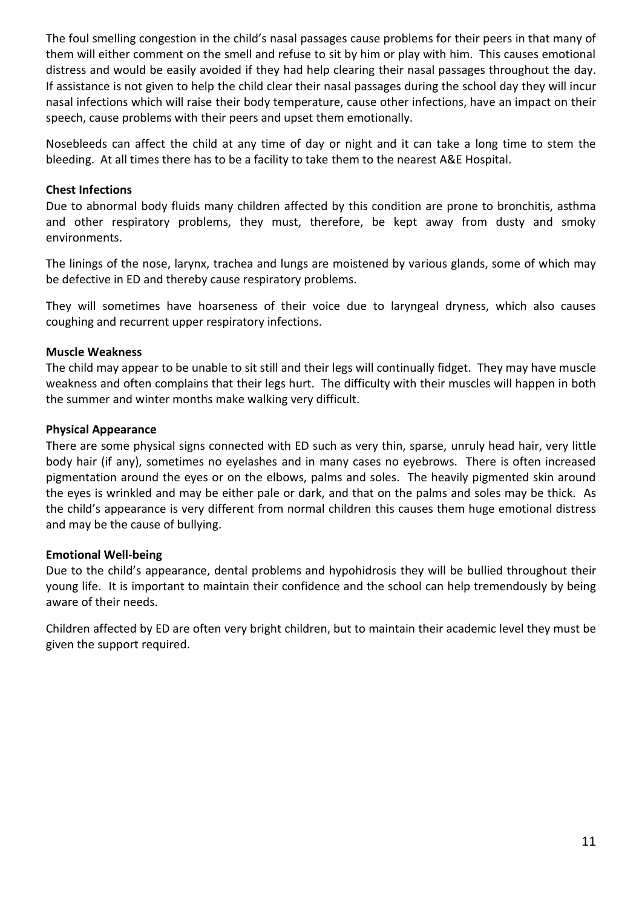The foul smelling congestion in the child's nasal passages cause problems for their peers in that many of them will either comment on the smell and refuse to sit by him or play with him. This causes emotional distress and would be easily avoided if they had help clearing their nasal passages throughout the day. If assistance is not given to help the child clear their nasal passages during the school day they will incur nasal infections which will raise their body temperature, cause other infections, have an impact on their speech, cause problems with their peers and upset them emotionally.

Nosebleeds can affect the child at any time of day or night and it can take a long time to stem the bleeding. At all times there has to be a facility to take them to the nearest A&E Hospital.

### **Chest Infections**

Due to abnormal body fluids many children affected by this condition are prone to bronchitis, asthma and other respiratory problems, they must, therefore, be kept away from dusty and smoky environments.

The linings of the nose, larynx, trachea and lungs are moistened by various glands, some of which may be defective in ED and thereby cause respiratory problems.

They will sometimes have hoarseness of their voice due to laryngeal dryness, which also causes coughing and recurrent upper respiratory infections.

### **Muscle Weakness**

The child may appear to be unable to sit still and their legs will continually fidget. They may have muscle weakness and often complains that their legs hurt. The difficulty with their muscles will happen in both the summer and winter months make walking very difficult.

### **Physical Appearance**

There are some physical signs connected with ED such as very thin, sparse, unruly head hair, very little body hair (if any), sometimes no eyelashes and in many cases no eyebrows. There is often increased pigmentation around the eyes or on the elbows, palms and soles. The heavily pigmented skin around the eyes is wrinkled and may be either pale or dark, and that on the palms and soles may be thick. As the child's appearance is very different from normal children this causes them huge emotional distress and may be the cause of bullying.

### **Emotional Well-being**

Due to the child's appearance, dental problems and hypohidrosis they will be bullied throughout their young life. It is important to maintain their confidence and the school can help tremendously by being aware of their needs.

Children affected by ED are often very bright children, but to maintain their academic level they must be given the support required.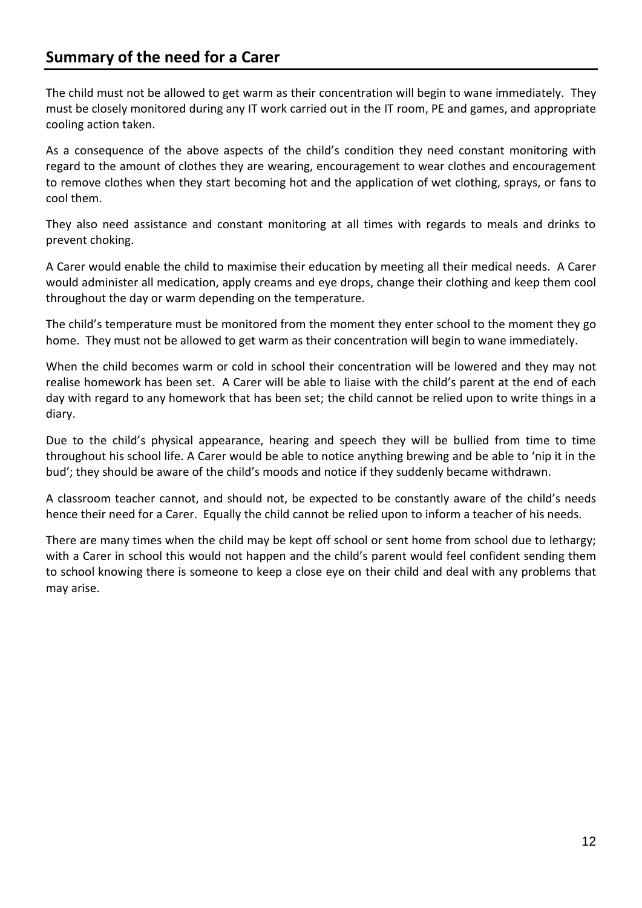The child must not be allowed to get warm as their concentration will begin to wane immediately. They must be closely monitored during any IT work carried out in the IT room, PE and games, and appropriate cooling action taken.

As a consequence of the above aspects of the child's condition they need constant monitoring with regard to the amount of clothes they are wearing, encouragement to wear clothes and encouragement to remove clothes when they start becoming hot and the application of wet clothing, sprays, or fans to cool them.

They also need assistance and constant monitoring at all times with regards to meals and drinks to prevent choking.

A Carer would enable the child to maximise their education by meeting all their medical needs. A Carer would administer all medication, apply creams and eye drops, change their clothing and keep them cool throughout the day or warm depending on the temperature.

The child's temperature must be monitored from the moment they enter school to the moment they go home. They must not be allowed to get warm as their concentration will begin to wane immediately.

When the child becomes warm or cold in school their concentration will be lowered and they may not realise homework has been set. A Carer will be able to liaise with the child's parent at the end of each day with regard to any homework that has been set; the child cannot be relied upon to write things in a diary.

Due to the child's physical appearance, hearing and speech they will be bullied from time to time throughout his school life. A Carer would be able to notice anything brewing and be able to 'nip it in the bud'; they should be aware of the child's moods and notice if they suddenly became withdrawn.

A classroom teacher cannot, and should not, be expected to be constantly aware of the child's needs hence their need for a Carer. Equally the child cannot be relied upon to inform a teacher of his needs.

There are many times when the child may be kept off school or sent home from school due to lethargy; with a Carer in school this would not happen and the child's parent would feel confident sending them to school knowing there is someone to keep a close eye on their child and deal with any problems that may arise.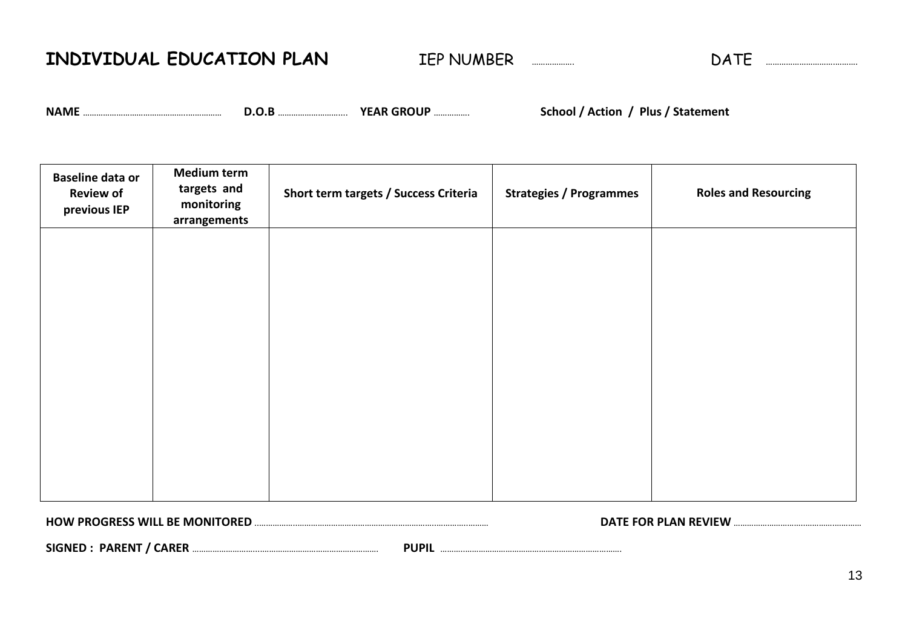**INDIVIDUAL EDUCATION PLAN** IEP NUMBER ………………. DATE ………………………….……….

**NAME** ………………………………………..…………… **D.O.B** ……………………….... **YEAR GROUP** ……………. **School / Action / Plus / Statement**

| <b>Baseline data or</b><br><b>Review of</b><br>previous IEP | <b>Medium term</b><br>targets and<br>monitoring<br>arrangements | Short term targets / Success Criteria | <b>Strategies / Programmes</b> | <b>Roles and Resourcing</b> |
|-------------------------------------------------------------|-----------------------------------------------------------------|---------------------------------------|--------------------------------|-----------------------------|
|                                                             |                                                                 |                                       |                                |                             |
|                                                             |                                                                 |                                       |                                |                             |
|                                                             |                                                                 |                                       |                                |                             |
|                                                             |                                                                 |                                       |                                |                             |
|                                                             |                                                                 |                                       |                                |                             |

**HOW PROGRESS WILL BE MONITORED** ..……………..……………………………………………………..…………..……… **DATE FOR PLAN REVIEW** …………………………..………….…………

**SIGNED : PARENT / CARER** ………………………....……………………………………………. **PUPIL** ………..…………………………………………………………….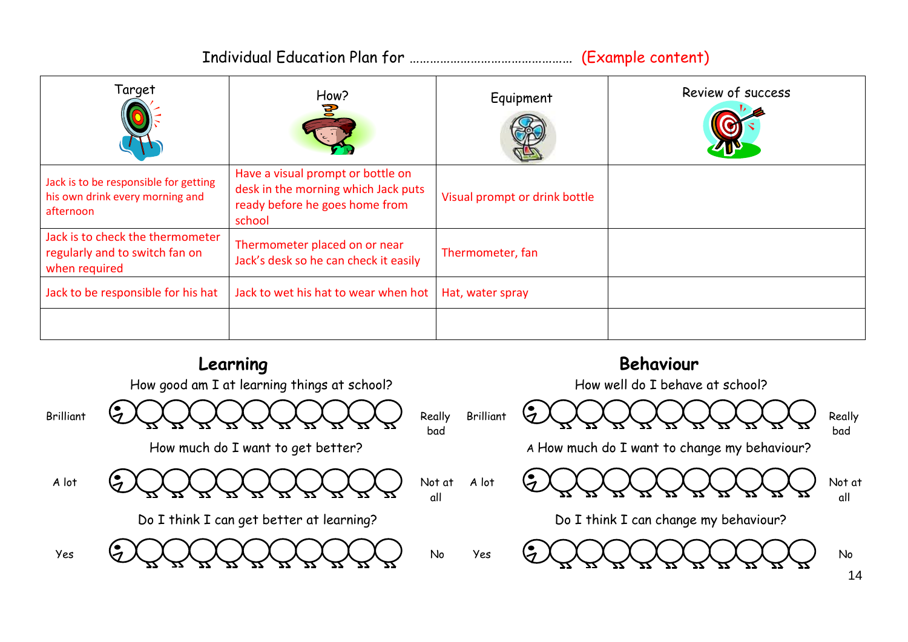Individual Education Plan for ………………………………………… (Example content)

| Target                                                                                | How?<br>5                                                                                                            | Equipment                     | Review of success |
|---------------------------------------------------------------------------------------|----------------------------------------------------------------------------------------------------------------------|-------------------------------|-------------------|
| Jack is to be responsible for getting<br>his own drink every morning and<br>afternoon | Have a visual prompt or bottle on<br>desk in the morning which Jack puts<br>ready before he goes home from<br>school | Visual prompt or drink bottle |                   |
| Jack is to check the thermometer<br>regularly and to switch fan on<br>when required   | Thermometer placed on or near<br>Jack's desk so he can check it easily                                               | Thermometer, fan              |                   |
| Jack to be responsible for his hat                                                    | Jack to wet his hat to wear when hot                                                                                 | Hat, water spray              |                   |
|                                                                                       |                                                                                                                      |                               |                   |